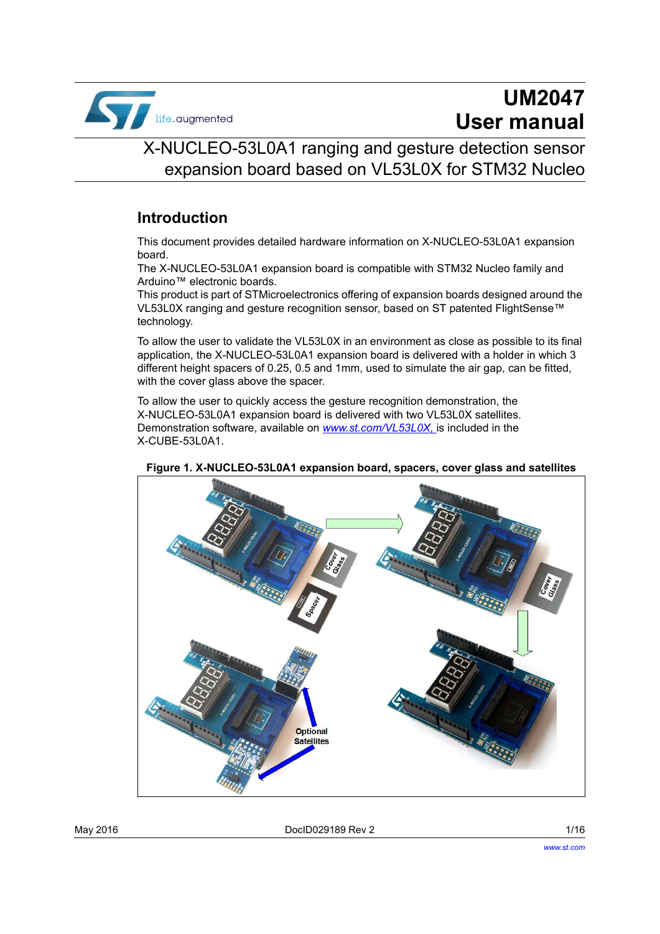

# **UM2047 User manual**

# X-NUCLEO-53L0A1 ranging and gesture detection sensor expansion board based on VL53L0X for STM32 Nucleo

### **Introduction**

This document provides detailed hardware information on X-NUCLEO-53L0A1 expansion board.

The X-NUCLEO-53L0A1 expansion board is compatible with STM32 Nucleo family and Arduino™ electronic boards.

This product is part of STMicroelectronics offering of expansion boards designed around the VL53L0X ranging and gesture recognition sensor, based on ST patented FlightSense™ technology.

To allow the user to validate the VL53L0X in an environment as close as possible to its final application, the X-NUCLEO-53L0A1 expansion board is delivered with a holder in which 3 different height spacers of 0.25, 0.5 and 1mm, used to simulate the air gap, can be fitted, with the cover glass above the spacer.

To allow the user to quickly access the gesture recognition demonstration, the X-NUCLEO-53L0A1 expansion board is delivered with two VL53L0X satellites. Demonstration software, available on *www.st.com/VL53L0X,* is included in the X-CUBE-53L0A1.



**Figure 1. X-NUCLEO-53L0A1 expansion board, spacers, cover glass and satellites** 

May 2016 DocID029189 Rev 2 1/16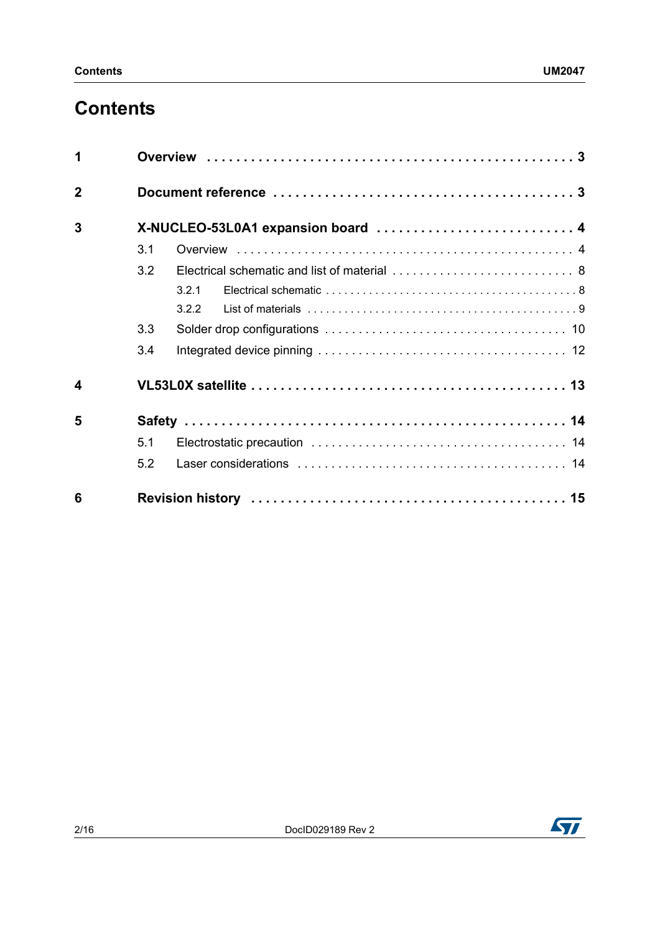# **Contents**

| 1                |                                    |       |  |  |  |  |  |  |  |
|------------------|------------------------------------|-------|--|--|--|--|--|--|--|
| $\overline{2}$   |                                    |       |  |  |  |  |  |  |  |
| 3                | X-NUCLEO-53L0A1 expansion board  4 |       |  |  |  |  |  |  |  |
|                  | 3.1                                |       |  |  |  |  |  |  |  |
|                  | 3.2                                |       |  |  |  |  |  |  |  |
|                  |                                    | 3.2.1 |  |  |  |  |  |  |  |
|                  |                                    | 3.2.2 |  |  |  |  |  |  |  |
|                  | 3.3                                |       |  |  |  |  |  |  |  |
|                  | 3.4                                |       |  |  |  |  |  |  |  |
| $\boldsymbol{4}$ |                                    |       |  |  |  |  |  |  |  |
| 5                |                                    |       |  |  |  |  |  |  |  |
|                  | 5.1                                |       |  |  |  |  |  |  |  |
|                  | 5.2                                |       |  |  |  |  |  |  |  |
| 6                |                                    |       |  |  |  |  |  |  |  |

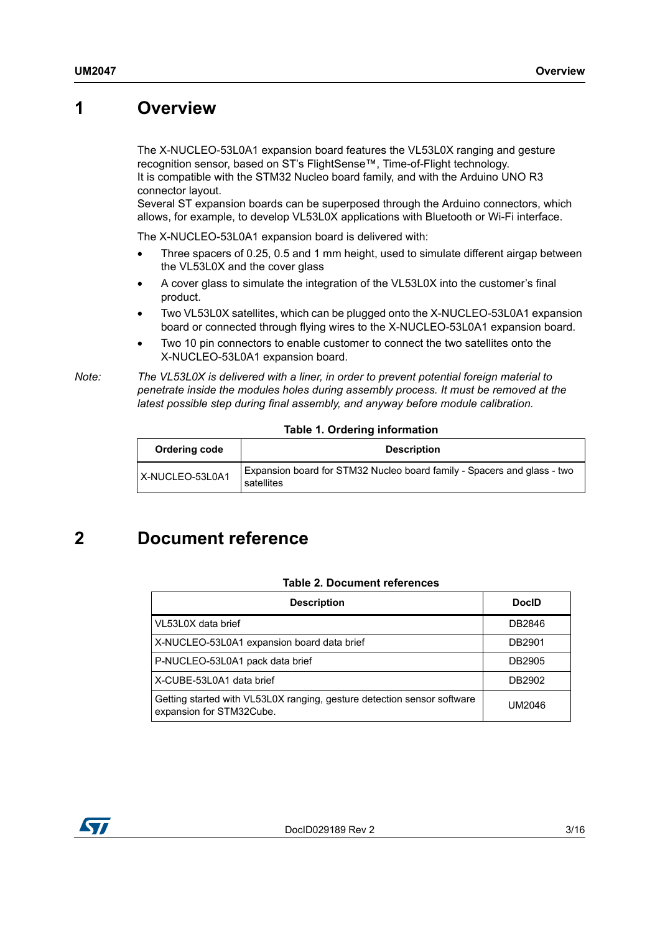## <span id="page-2-0"></span>**1 Overview**

The X-NUCLEO-53L0A1 expansion board features the VL53L0X ranging and gesture recognition sensor, based on ST's FlightSense™, Time-of-Flight technology. It is compatible with the STM32 Nucleo board family, and with the Arduino UNO R3 connector layout.

Several ST expansion boards can be superposed through the Arduino connectors, which allows, for example, to develop VL53L0X applications with Bluetooth or Wi-Fi interface.

The X-NUCLEO-53L0A1 expansion board is delivered with:

- Three spacers of 0.25, 0.5 and 1 mm height, used to simulate different airgap between the VL53L0X and the cover glass
- A cover glass to simulate the integration of the VL53L0X into the customer's final product.
- Two VL53L0X satellites, which can be plugged onto the X-NUCLEO-53L0A1 expansion board or connected through flying wires to the X-NUCLEO-53L0A1 expansion board.
- Two 10 pin connectors to enable customer to connect the two satellites onto the X-NUCLEO-53L0A1 expansion board.

*Note: The VL53L0X is delivered with a liner, in order to prevent potential foreign material to penetrate inside the modules holes during assembly process. It must be removed at the latest possible step during final assembly, and anyway before module calibration.*

#### **Table 1. Ordering information**

| Ordering code   | <b>Description</b>                                                                    |
|-----------------|---------------------------------------------------------------------------------------|
| X-NUCLEO-53L0A1 | Expansion board for STM32 Nucleo board family - Spacers and glass - two<br>satellites |

# <span id="page-2-1"></span>**2 Document reference**

#### **Table 2. Document references**

<span id="page-2-2"></span>

| <b>Description</b>                                                                                  | <b>DocID</b> |
|-----------------------------------------------------------------------------------------------------|--------------|
| VL53L0X data brief                                                                                  | DB2846       |
| X-NUCLEO-53L0A1 expansion board data brief                                                          | DB2901       |
| P-NUCLEO-53L0A1 pack data brief                                                                     | DB2905       |
| X-CUBE-53L0A1 data brief                                                                            | DB2902       |
| Getting started with VL53L0X ranging, gesture detection sensor software<br>expansion for STM32Cube. | UM2046       |

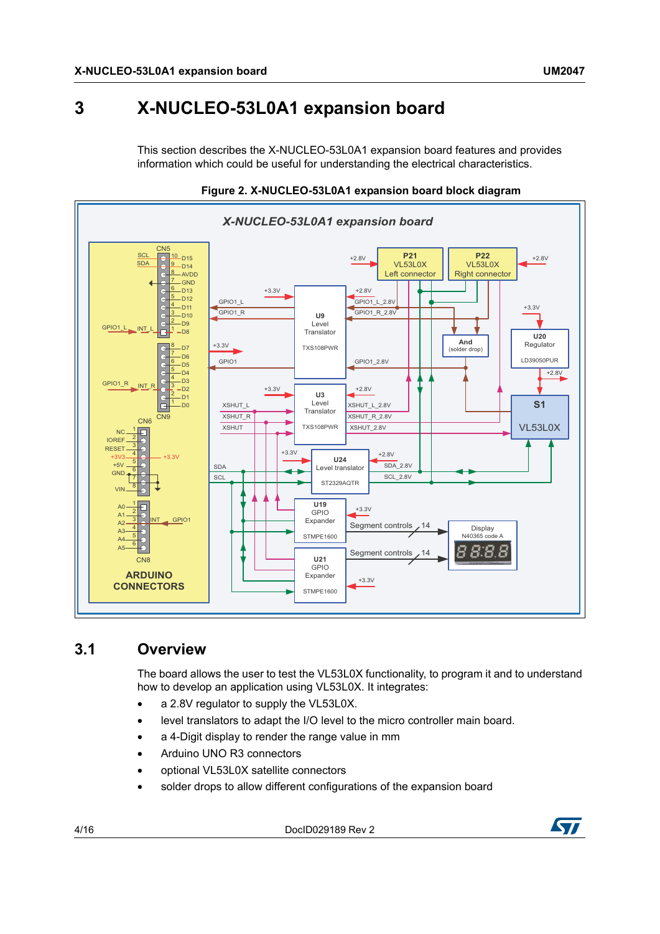# <span id="page-3-0"></span>**3 X-NUCLEO-53L0A1 expansion board**

This section describes the X-NUCLEO-53L0A1 expansion board features and provides information which could be useful for understanding the electrical characteristics.





### <span id="page-3-1"></span>**3.1 Overview**

The board allows the user to test the VL53L0X functionality, to program it and to understand how to develop an application using VL53L0X. It integrates:

- a 2.8V regulator to supply the VL53L0X.
- level translators to adapt the I/O level to the micro controller main board.
- a 4-Digit display to render the range value in mm
- Arduino UNO R3 connectors
- optional VL53L0X satellite connectors
- solder drops to allow different configurations of the expansion board

4/16 DocID029189 Rev 2

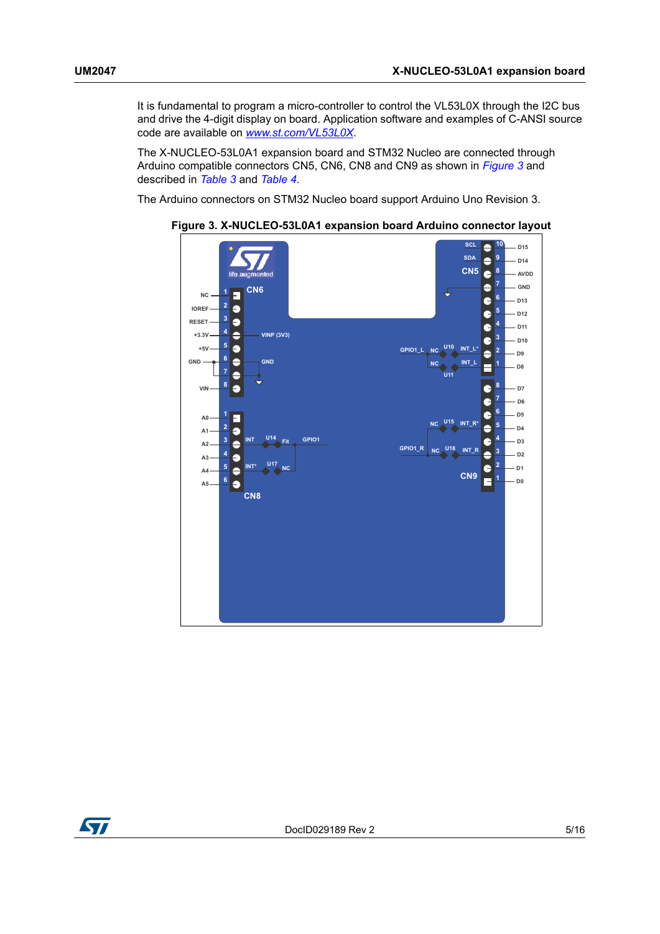It is fundamental to program a micro-controller to control the VL53L0X through the I2C bus and drive the 4-digit display on board. Application software and examples of C-ANSI source code are available on *www.st.com/VL53L0X*.

The X-NUCLEO-53L0A1 expansion board and STM32 Nucleo are connected through Arduino compatible connectors CN5, CN6, CN8 and CN9 as shown in *[Figure 3](#page-4-0)* and described in *[Table 3](#page-5-0)* and *[Table 4](#page-6-0)*.

<span id="page-4-0"></span>The Arduino connectors on STM32 Nucleo board support Arduino Uno Revision 3.



**Figure 3. X-NUCLEO-53L0A1 expansion board Arduino connector layout**

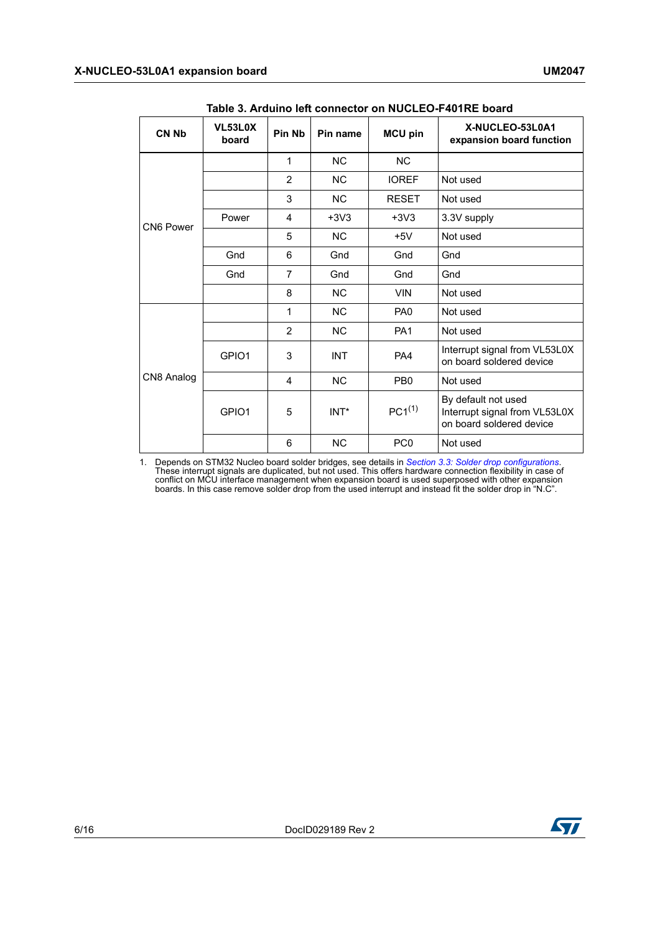<span id="page-5-0"></span>

| <b>CN Nb</b> | VL53L0X<br>board | <b>Pin Nb</b>  | Pin name   | <b>MCU pin</b>  | X-NUCLEO-53L0A1<br>expansion board function                                      |
|--------------|------------------|----------------|------------|-----------------|----------------------------------------------------------------------------------|
|              |                  | 1              | <b>NC</b>  | <b>NC</b>       |                                                                                  |
|              |                  | $\overline{2}$ | <b>NC</b>  | <b>IOREF</b>    | Not used                                                                         |
|              |                  | 3              | <b>NC</b>  | <b>RESET</b>    | Not used                                                                         |
| CN6 Power    | Power            | 4              | $+3V3$     | $+3V3$          | 3.3V supply                                                                      |
|              |                  | 5              | <b>NC</b>  | $+5V$           | Not used                                                                         |
|              | Gnd              | 6              | Gnd        | Gnd             | Gnd                                                                              |
|              | Gnd              | 7              | Gnd        | Gnd             | Gnd                                                                              |
|              |                  | 8              | <b>NC</b>  | <b>VIN</b>      | Not used                                                                         |
| CN8 Analog   |                  | 1              | <b>NC</b>  | PA <sub>0</sub> | Not used                                                                         |
|              |                  | $\overline{2}$ | NC         | PA <sub>1</sub> | Not used                                                                         |
|              | GPIO1            | 3              | <b>INT</b> | PA4             | Interrupt signal from VL53L0X<br>on board soldered device                        |
|              |                  | 4              | <b>NC</b>  | PB <sub>0</sub> | Not used                                                                         |
|              | GPIO1            | 5              | INT*       | $PC1^{(1)}$     | By default not used<br>Interrupt signal from VL53L0X<br>on board soldered device |
|              |                  | 6              | <b>NC</b>  | PC <sub>0</sub> | Not used                                                                         |

1. Depends on STM32 Nucleo board solder bridges, see details in *[Section 3.3: Solder drop configurations](#page-9-0)*. These interrupt signals are duplicated, but not used. This offers hardware connection flexibility in case of conflict on MCU interface management when expansion board is used superposed with other expansion boards. In this case remove solder drop from the used interrupt and instead fit the solder drop in "N.C".

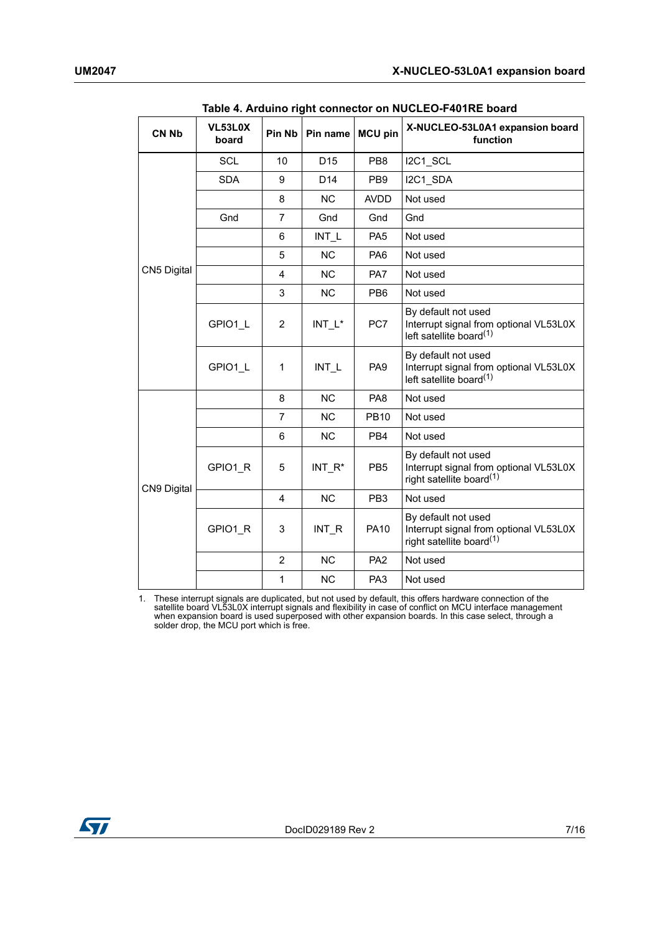<span id="page-6-0"></span>

| <b>CN Nb</b> | VL53L0X<br>board | Pin Nb         | Pin name        | <b>MCU pin</b>  | X-NUCLEO-53L0A1 expansion board<br>function                                                           |
|--------------|------------------|----------------|-----------------|-----------------|-------------------------------------------------------------------------------------------------------|
|              | <b>SCL</b>       | 10             | D <sub>15</sub> | PB <sub>8</sub> | I2C1 SCL                                                                                              |
|              | <b>SDA</b>       | 9              | D <sub>14</sub> | PB <sub>9</sub> | I2C1 SDA                                                                                              |
|              |                  | 8              | <b>NC</b>       | <b>AVDD</b>     | Not used                                                                                              |
|              | Gnd              | 7              | Gnd             | Gnd             | Gnd                                                                                                   |
|              |                  | 6              | INT L           | PA <sub>5</sub> | Not used                                                                                              |
|              |                  | 5              | <b>NC</b>       | PA6             | Not used                                                                                              |
| CN5 Digital  |                  | 4              | <b>NC</b>       | PA7             | Not used                                                                                              |
|              |                  | 3              | <b>NC</b>       | PB <sub>6</sub> | Not used                                                                                              |
|              | GPIO1 L          | $\overline{2}$ | $INT_L^*$       | PC7             | By default not used<br>Interrupt signal from optional VL53L0X<br>left satellite board <sup>(1)</sup>  |
|              | GPIO1 L          | 1              | INT L           | PA <sub>9</sub> | By default not used<br>Interrupt signal from optional VL53L0X<br>left satellite board $(1)$           |
|              |                  | 8              | <b>NC</b>       | PA <sub>8</sub> | Not used                                                                                              |
|              |                  | $\overline{7}$ | <b>NC</b>       | <b>PB10</b>     | Not used                                                                                              |
|              |                  | 6              | <b>NC</b>       | PB <sub>4</sub> | Not used                                                                                              |
| CN9 Digital  | GPIO1 R          | 5              | INT R*          | PB <sub>5</sub> | By default not used<br>Interrupt signal from optional VL53L0X<br>right satellite board <sup>(1)</sup> |
|              |                  | 4              | <b>NC</b>       | PB <sub>3</sub> | Not used                                                                                              |
|              | GPIO1 R          | 3              | INT R           | <b>PA10</b>     | By default not used<br>Interrupt signal from optional VL53L0X<br>right satellite board <sup>(1)</sup> |
|              |                  | $\overline{2}$ | <b>NC</b>       | PA <sub>2</sub> | Not used                                                                                              |
|              |                  | 1              | <b>NC</b>       | PA <sub>3</sub> | Not used                                                                                              |

**Table 4. Arduino right connector on NUCLEO-F401RE board**

<span id="page-6-1"></span>1. These interrupt signals are duplicated, but not used by default, this offers hardware connection of the satellite board VL53L0X interrupt signals and flexibility in case of conflict on MCU interface management when expansion board is used superposed with other expansion boards. In this case select, through a solder drop, the MCU port which is free.

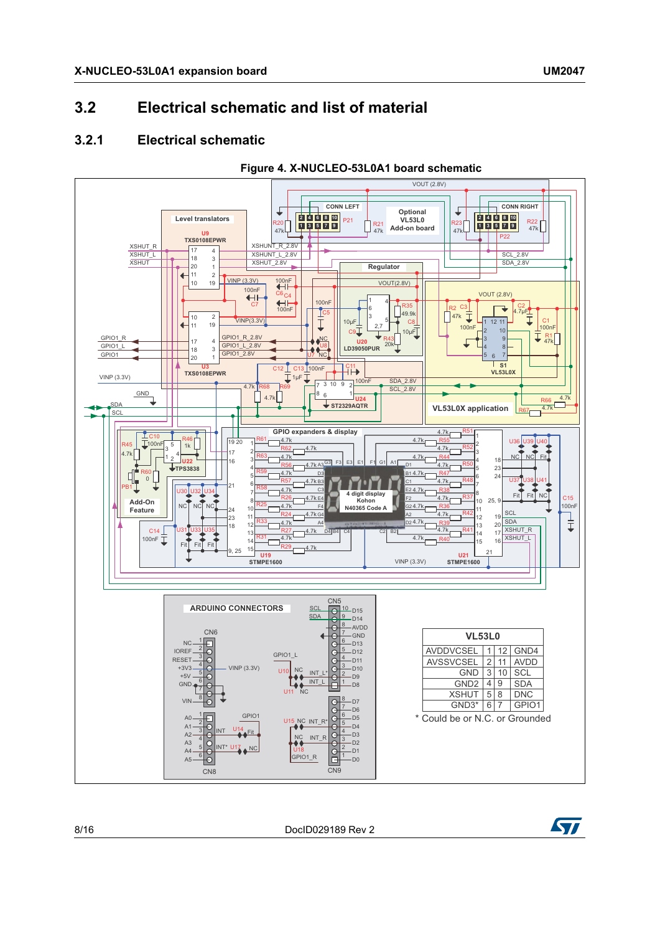### <span id="page-7-1"></span><span id="page-7-0"></span>**3.2.1 Electrical schematic**



**Figure 4. X-NUCLEO-53L0A1 board schematic**



8/16 DocID029189 Rev 2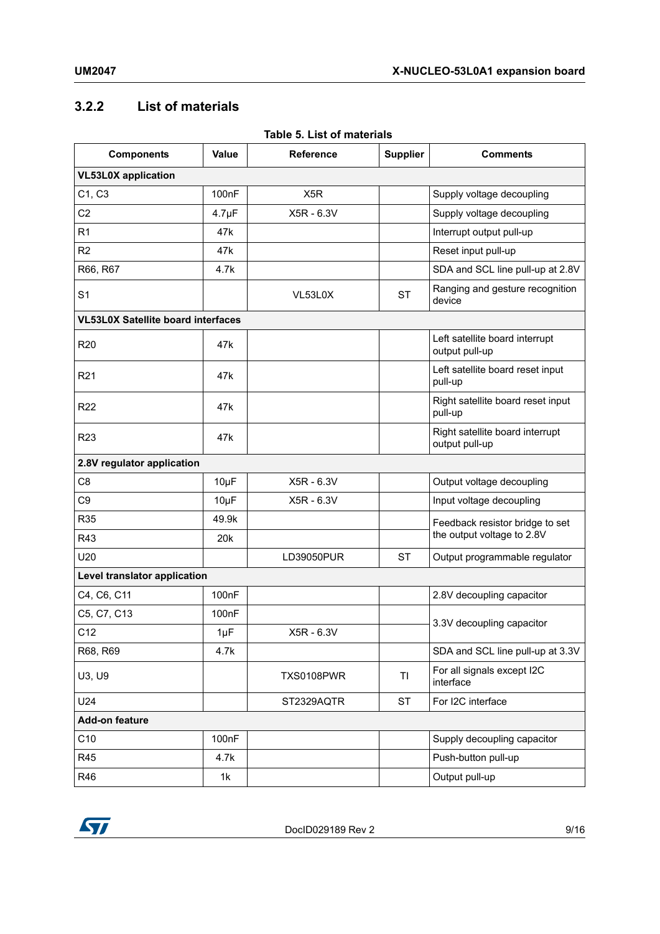### <span id="page-8-0"></span>**3.2.2 List of materials**

| <b>Components</b>                         | <b>Value</b>       | ומטופ ט. בואג טו ווומנפוומופ<br><b>Reference</b> | <b>Supplier</b> | <b>Comments</b>                                   |  |
|-------------------------------------------|--------------------|--------------------------------------------------|-----------------|---------------------------------------------------|--|
| <b>VL53L0X</b> application                |                    |                                                  |                 |                                                   |  |
| C1, C3                                    | 100nF              | X <sub>5</sub> R                                 |                 | Supply voltage decoupling                         |  |
| C <sub>2</sub>                            | $4.7 \mu F$        | X5R - 6.3V                                       |                 | Supply voltage decoupling                         |  |
| R1                                        | 47k                |                                                  |                 | Interrupt output pull-up                          |  |
| R2                                        | 47k                |                                                  |                 | Reset input pull-up                               |  |
| R66, R67                                  | 4.7k               |                                                  |                 | SDA and SCL line pull-up at 2.8V                  |  |
| S <sub>1</sub>                            |                    | VL53L0X                                          | <b>ST</b>       | Ranging and gesture recognition<br>device         |  |
| <b>VL53L0X Satellite board interfaces</b> |                    |                                                  |                 |                                                   |  |
| R <sub>20</sub>                           | 47k                |                                                  |                 | Left satellite board interrupt<br>output pull-up  |  |
| R <sub>21</sub>                           | 47k                |                                                  |                 | Left satellite board reset input<br>pull-up       |  |
| R <sub>22</sub>                           | 47 <sub>k</sub>    |                                                  |                 | Right satellite board reset input<br>pull-up      |  |
| R <sub>23</sub>                           | 47 <sub>k</sub>    |                                                  |                 | Right satellite board interrupt<br>output pull-up |  |
| 2.8V regulator application                |                    |                                                  |                 |                                                   |  |
| C <sub>8</sub>                            | $10\mu F$          | X5R - 6.3V                                       |                 | Output voltage decoupling                         |  |
| C <sub>9</sub>                            | $10\mu F$          | X5R - 6.3V                                       |                 | Input voltage decoupling                          |  |
| <b>R35</b>                                | 49.9k              |                                                  |                 | Feedback resistor bridge to set                   |  |
| R43                                       | 20 <sub>k</sub>    |                                                  |                 | the output voltage to 2.8V                        |  |
| U20                                       |                    | LD39050PUR                                       | <b>ST</b>       | Output programmable regulator                     |  |
| Level translator application              |                    |                                                  |                 |                                                   |  |
| C4, C6, C11                               | 100 <sub>n</sub> F |                                                  |                 | 2.8V decoupling capacitor                         |  |
| C5, C7, C13                               | 100nF              |                                                  |                 | 3.3V decoupling capacitor                         |  |
| C <sub>12</sub>                           | $1\mu F$           | X5R - 6.3V                                       |                 |                                                   |  |
| R68, R69                                  | 4.7k               |                                                  |                 | SDA and SCL line pull-up at 3.3V                  |  |
| U3, U9                                    |                    | <b>TXS0108PWR</b>                                | TI              | For all signals except I2C<br>interface           |  |
| U24                                       |                    | ST2329AQTR                                       | <b>ST</b>       | For I2C interface                                 |  |
| <b>Add-on feature</b>                     |                    |                                                  |                 |                                                   |  |
| C10                                       | 100nF              |                                                  |                 | Supply decoupling capacitor                       |  |
| R45                                       | 4.7k               |                                                  |                 | Push-button pull-up                               |  |
| R46                                       | 1k                 |                                                  |                 | Output pull-up                                    |  |

#### **Table 5. List of materials**

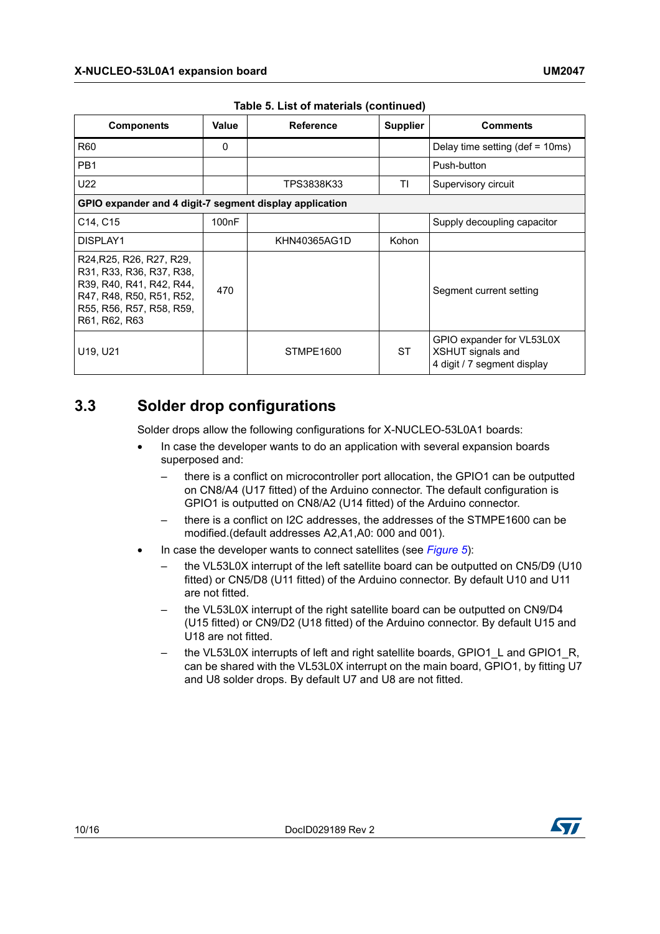| <b>Components</b>                                                                                                                                         | Value                                                   | <b>Reference</b> | <b>Supplier</b> | <b>Comments</b>                                                               |  |  |
|-----------------------------------------------------------------------------------------------------------------------------------------------------------|---------------------------------------------------------|------------------|-----------------|-------------------------------------------------------------------------------|--|--|
| R <sub>60</sub>                                                                                                                                           | 0                                                       |                  |                 | Delay time setting (def = $10ms$ )                                            |  |  |
| PB <sub>1</sub>                                                                                                                                           |                                                         |                  |                 | Push-button                                                                   |  |  |
| U22                                                                                                                                                       |                                                         | TPS3838K33       | ΤI              | Supervisory circuit                                                           |  |  |
|                                                                                                                                                           | GPIO expander and 4 digit-7 segment display application |                  |                 |                                                                               |  |  |
| C <sub>14</sub> , C <sub>15</sub>                                                                                                                         | 100 <sub>n</sub> F                                      |                  |                 | Supply decoupling capacitor                                                   |  |  |
| DISPLAY1                                                                                                                                                  |                                                         | KHN40365AG1D     | Kohon           |                                                                               |  |  |
| R24, R25, R26, R27, R29,<br>R31, R33, R36, R37, R38,<br>R39, R40, R41, R42, R44,<br>R47, R48, R50, R51, R52,<br>R55, R56, R57, R58, R59,<br>R61, R62, R63 | 470                                                     |                  |                 | Segment current setting                                                       |  |  |
| U19, U21                                                                                                                                                  |                                                         | STMPE1600        | <b>ST</b>       | GPIO expander for VL53L0X<br>XSHUT signals and<br>4 digit / 7 segment display |  |  |

**Table 5. List of materials (continued)**

### <span id="page-9-0"></span>**3.3 Solder drop configurations**

Solder drops allow the following configurations for X-NUCLEO-53L0A1 boards:

- In case the developer wants to do an application with several expansion boards superposed and:
	- there is a conflict on microcontroller port allocation, the GPIO1 can be outputted on CN8/A4 (U17 fitted) of the Arduino connector. The default configuration is GPIO1 is outputted on CN8/A2 (U14 fitted) of the Arduino connector.
	- there is a conflict on I2C addresses, the addresses of the STMPE1600 can be modified.(default addresses A2,A1,A0: 000 and 001).
- In case the developer wants to connect satellites (see *[Figure 5](#page-10-0)*):
	- the VL53L0X interrupt of the left satellite board can be outputted on CN5/D9 (U10 fitted) or CN5/D8 (U11 fitted) of the Arduino connector. By default U10 and U11 are not fitted.
	- the VL53L0X interrupt of the right satellite board can be outputted on CN9/D4 (U15 fitted) or CN9/D2 (U18 fitted) of the Arduino connector. By default U15 and U18 are not fitted.
	- the VL53L0X interrupts of left and right satellite boards, GPIO1\_L and GPIO1\_R, can be shared with the VL53L0X interrupt on the main board, GPIO1, by fitting U7 and U8 solder drops. By default U7 and U8 are not fitted.

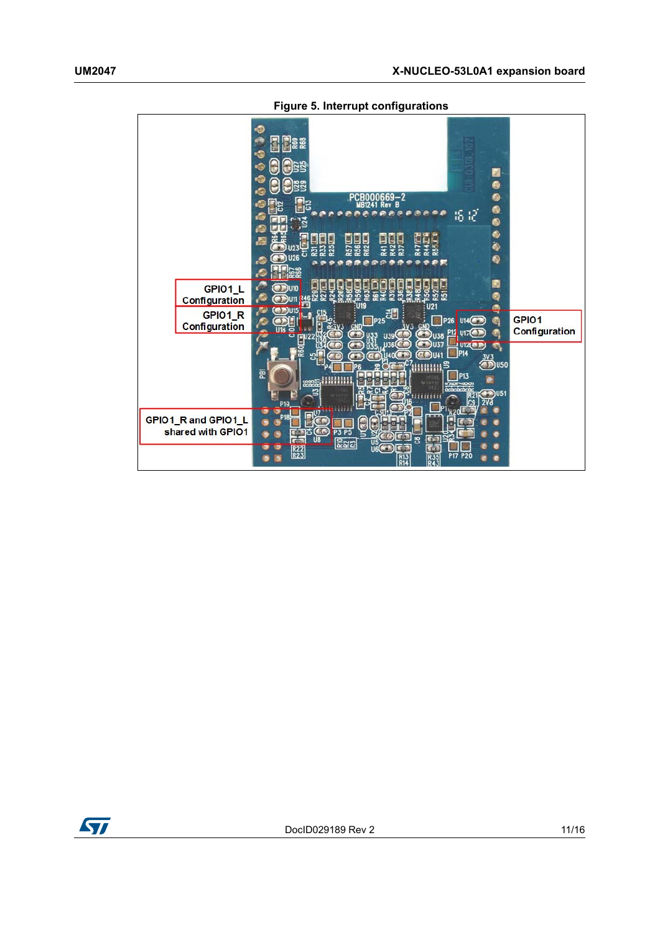<span id="page-10-0"></span>

|                                          | <br>PCR000669-2<br>Rev<br>UR 12<br>16 IZ<br>安德安布森<br>Bie<br>E<br>р<br>e<br>ဥ<br>2<br>126<br>×<br>e                                     |
|------------------------------------------|----------------------------------------------------------------------------------------------------------------------------------------|
|                                          |                                                                                                                                        |
| GPIO1_L<br>Configuration                 | M<br>DU <sub>10</sub><br>Q<br>U <sub>21</sub>                                                                                          |
| GPIO1_R                                  | ക<br>$D$ U15<br><b>P25</b>                                                                                                             |
| Configuration                            | GPIO1<br>P26 U14(<br>U.<br><b>GN</b><br><b>GND</b><br>≧βV3                                                                             |
|                                          | Configuration<br>P <sub>12</sub><br><b>U17</b><br>$\binom{36}{10}$ $\frac{138}{10}$<br>U39<br>122                                      |
|                                          | <b>U360</b><br><b>U37</b><br>U1Z<br>a<br><b>P14</b><br>$\sum_{n=0}^{30}$ U50<br>臣<br><b>P13</b><br>нш<br>မ္မွစ္တာ<br><b>invor-coon</b> |
|                                          | $\n  1\n  1\n  1\n  1\n  1\n  1\n  1\n  1\n  1\n  1\n  1\n  1\n  1\n  1\n  1\n  1\n  1\n  1\n  1\n  1\n  1\n  1\n  1\n  1\n  $         |
| GPIO1_R and GPIO1_L<br>shared with GPIO1 | P <sub>19</sub><br>P <sub>5</sub><br>P <sub>3</sub><br>ន<br>U8<br><b>222</b><br>$\frac{15}{16(9)}$                                     |
|                                          | R <sub>23</sub><br><b>P17 P20</b>                                                                                                      |

**Figure 5. Interrupt configurations**

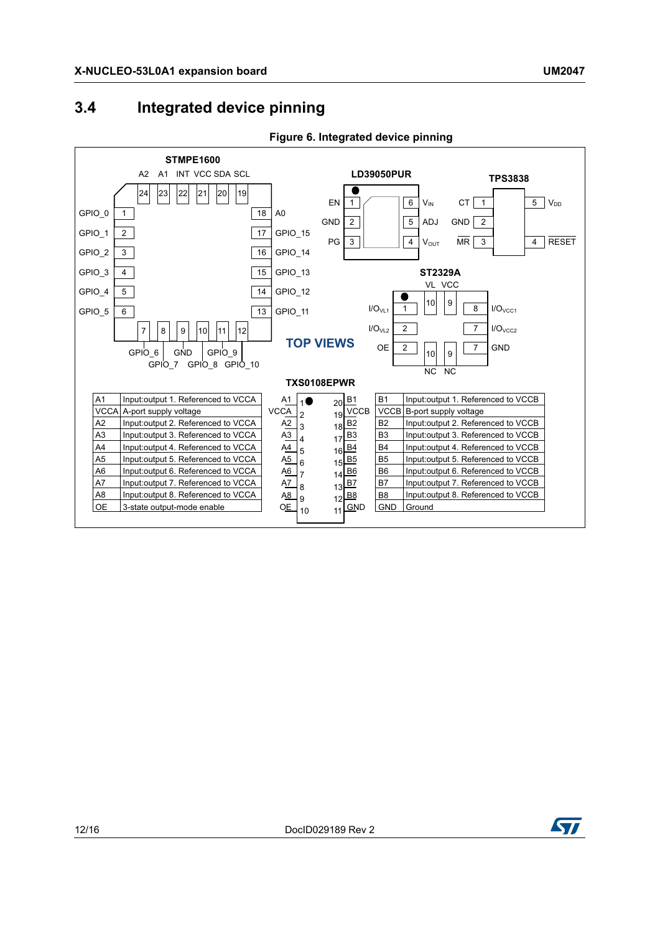## <span id="page-11-0"></span>**3.4 Integrated device pinning**



#### **Figure 6. Integrated device pinning**

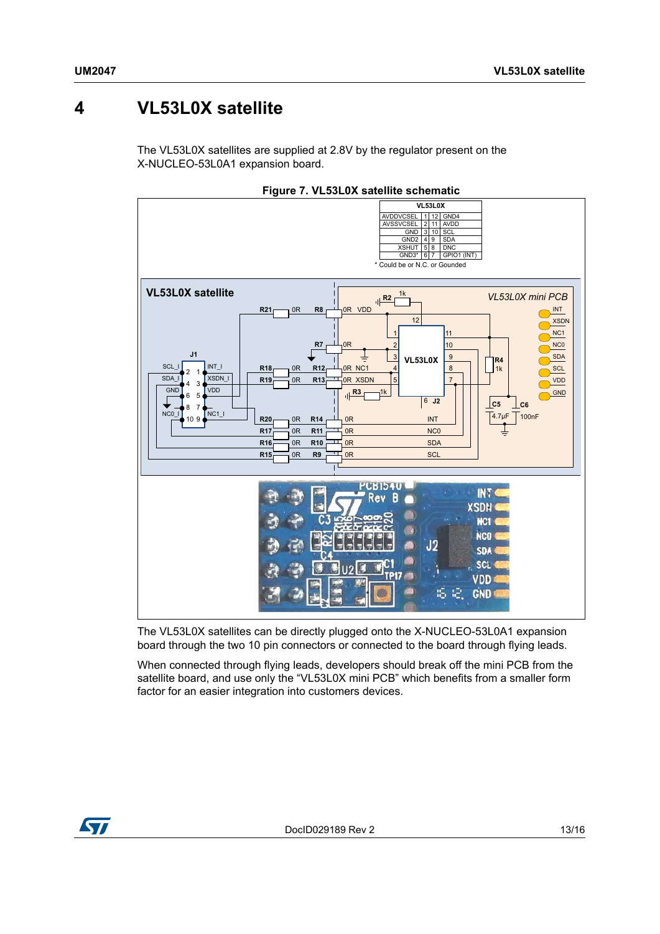# <span id="page-12-0"></span>**4 VL53L0X satellite**

The VL53L0X satellites are supplied at 2.8V by the regulator present on the X-NUCLEO-53L0A1 expansion board.



**Figure 7. VL53L0X satellite schematic**

The VL53L0X satellites can be directly plugged onto the X-NUCLEO-53L0A1 expansion board through the two 10 pin connectors or connected to the board through flying leads.

When connected through flying leads, developers should break off the mini PCB from the satellite board, and use only the "VL53L0X mini PCB" which benefits from a smaller form factor for an easier integration into customers devices.

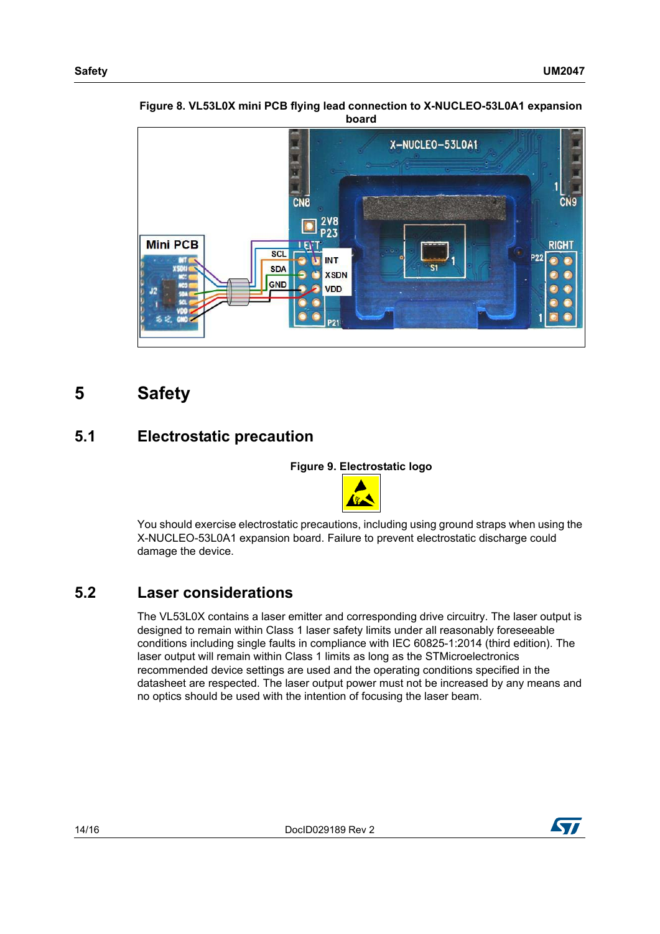

**Figure 8. VL53L0X mini PCB flying lead connection to X-NUCLEO-53L0A1 expansion board**

# <span id="page-13-0"></span>**5 Safety**

## <span id="page-13-1"></span>**5.1 Electrostatic precaution**

**Figure 9. Electrostatic logo**



You should exercise electrostatic precautions, including using ground straps when using the X-NUCLEO-53L0A1 expansion board. Failure to prevent electrostatic discharge could damage the device.

## <span id="page-13-2"></span>**5.2 Laser considerations**

The VL53L0X contains a laser emitter and corresponding drive circuitry. The laser output is designed to remain within Class 1 laser safety limits under all reasonably foreseeable conditions including single faults in compliance with IEC 60825-1:2014 (third edition). The laser output will remain within Class 1 limits as long as the STMicroelectronics recommended device settings are used and the operating conditions specified in the datasheet are respected. The laser output power must not be increased by any means and no optics should be used with the intention of focusing the laser beam.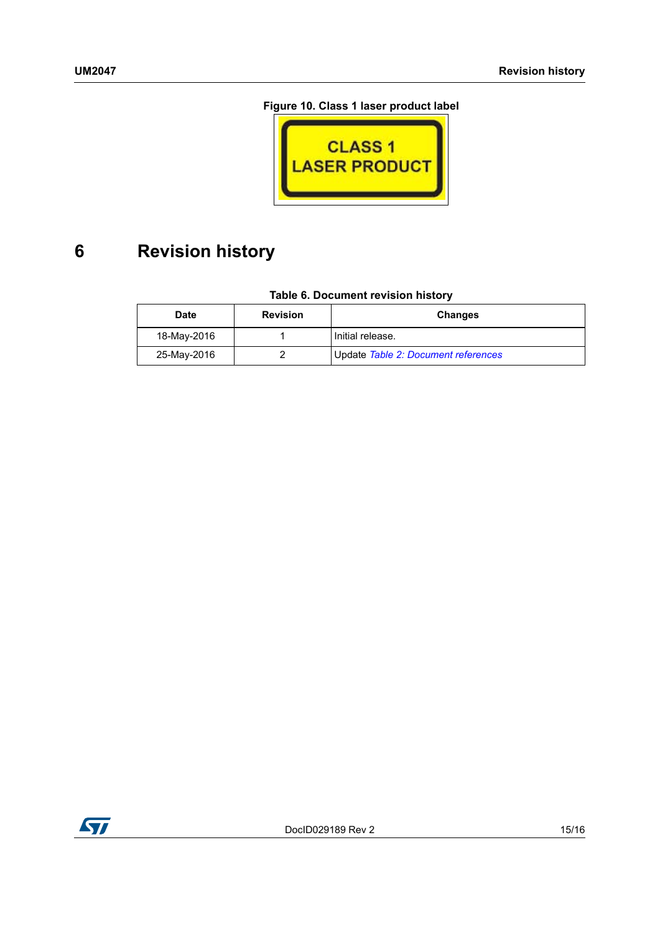### **Figure 10. Class 1 laser product label**



# <span id="page-14-0"></span>**6 Revision history**

### **Table 6. Document revision history**

| <b>Date</b> | <b>Revision</b> | <b>Changes</b>                      |
|-------------|-----------------|-------------------------------------|
| 18-May-2016 |                 | Initial release.                    |
| 25-May-2016 |                 | Update Table 2: Document references |